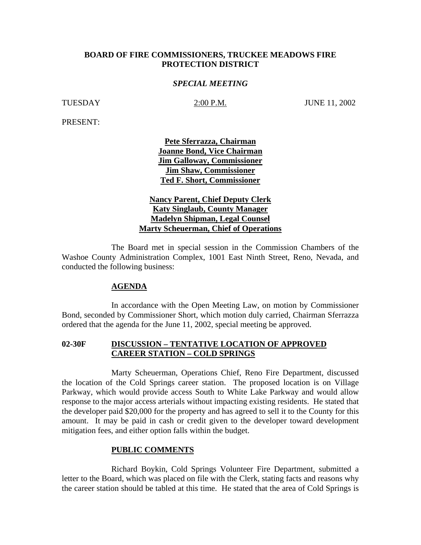## **BOARD OF FIRE COMMISSIONERS, TRUCKEE MEADOWS FIRE PROTECTION DISTRICT**

### *SPECIAL MEETING*

TUESDAY 2:00 P.M. JUNE 11, 2002

PRESENT:

**Pete Sferrazza, Chairman Joanne Bond, Vice Chairman Jim Galloway, Commissioner Jim Shaw, Commissioner Ted F. Short, Commissioner**

**Nancy Parent, Chief Deputy Clerk Katy Singlaub, County Manager Madelyn Shipman, Legal Counsel Marty Scheuerman, Chief of Operations**

The Board met in special session in the Commission Chambers of the Washoe County Administration Complex, 1001 East Ninth Street, Reno, Nevada, and conducted the following business:

#### **AGENDA**

In accordance with the Open Meeting Law, on motion by Commissioner Bond, seconded by Commissioner Short, which motion duly carried, Chairman Sferrazza ordered that the agenda for the June 11, 2002, special meeting be approved.

## **02-30F DISCUSSION – TENTATIVE LOCATION OF APPROVED CAREER STATION – COLD SPRINGS**

Marty Scheuerman, Operations Chief, Reno Fire Department, discussed the location of the Cold Springs career station. The proposed location is on Village Parkway, which would provide access South to White Lake Parkway and would allow response to the major access arterials without impacting existing residents. He stated that the developer paid \$20,000 for the property and has agreed to sell it to the County for this amount. It may be paid in cash or credit given to the developer toward development mitigation fees, and either option falls within the budget.

#### **PUBLIC COMMENTS**

Richard Boykin, Cold Springs Volunteer Fire Department, submitted a letter to the Board, which was placed on file with the Clerk, stating facts and reasons why the career station should be tabled at this time. He stated that the area of Cold Springs is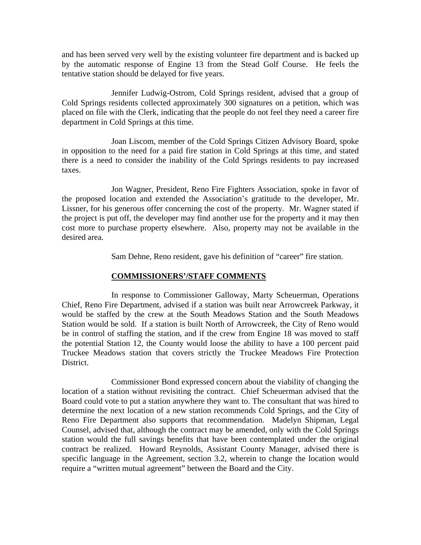and has been served very well by the existing volunteer fire department and is backed up by the automatic response of Engine 13 from the Stead Golf Course. He feels the tentative station should be delayed for five years.

Jennifer Ludwig-Ostrom, Cold Springs resident, advised that a group of Cold Springs residents collected approximately 300 signatures on a petition, which was placed on file with the Clerk, indicating that the people do not feel they need a career fire department in Cold Springs at this time.

Joan Liscom, member of the Cold Springs Citizen Advisory Board, spoke in opposition to the need for a paid fire station in Cold Springs at this time, and stated there is a need to consider the inability of the Cold Springs residents to pay increased taxes.

Jon Wagner, President, Reno Fire Fighters Association, spoke in favor of the proposed location and extended the Association's gratitude to the developer, Mr. Lissner, for his generous offer concerning the cost of the property. Mr. Wagner stated if the project is put off, the developer may find another use for the property and it may then cost more to purchase property elsewhere. Also, property may not be available in the desired area.

Sam Dehne, Reno resident, gave his definition of "career" fire station.

## **COMMISSIONERS'/STAFF COMMENTS**

In response to Commissioner Galloway, Marty Scheuerman, Operations Chief, Reno Fire Department, advised if a station was built near Arrowcreek Parkway, it would be staffed by the crew at the South Meadows Station and the South Meadows Station would be sold. If a station is built North of Arrowcreek, the City of Reno would be in control of staffing the station, and if the crew from Engine 18 was moved to staff the potential Station 12, the County would loose the ability to have a 100 percent paid Truckee Meadows station that covers strictly the Truckee Meadows Fire Protection District.

Commissioner Bond expressed concern about the viability of changing the location of a station without revisiting the contract. Chief Scheuerman advised that the Board could vote to put a station anywhere they want to. The consultant that was hired to determine the next location of a new station recommends Cold Springs, and the City of Reno Fire Department also supports that recommendation. Madelyn Shipman, Legal Counsel, advised that, although the contract may be amended, only with the Cold Springs station would the full savings benefits that have been contemplated under the original contract be realized. Howard Reynolds, Assistant County Manager, advised there is specific language in the Agreement, section 3.2, wherein to change the location would require a "written mutual agreement" between the Board and the City.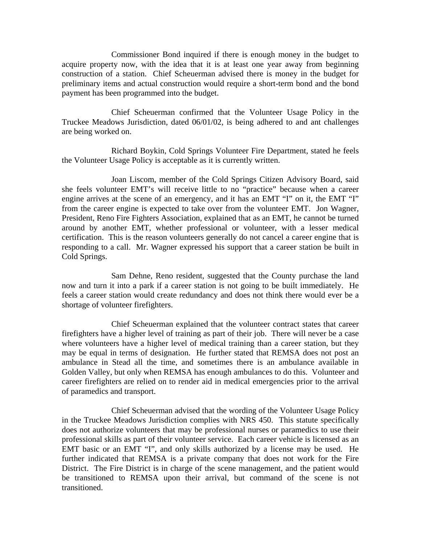Commissioner Bond inquired if there is enough money in the budget to acquire property now, with the idea that it is at least one year away from beginning construction of a station. Chief Scheuerman advised there is money in the budget for preliminary items and actual construction would require a short-term bond and the bond payment has been programmed into the budget.

Chief Scheuerman confirmed that the Volunteer Usage Policy in the Truckee Meadows Jurisdiction, dated 06/01/02, is being adhered to and ant challenges are being worked on.

Richard Boykin, Cold Springs Volunteer Fire Department, stated he feels the Volunteer Usage Policy is acceptable as it is currently written.

Joan Liscom, member of the Cold Springs Citizen Advisory Board, said she feels volunteer EMT's will receive little to no "practice" because when a career engine arrives at the scene of an emergency, and it has an EMT "I" on it, the EMT "I" from the career engine is expected to take over from the volunteer EMT. Jon Wagner, President, Reno Fire Fighters Association, explained that as an EMT, he cannot be turned around by another EMT, whether professional or volunteer, with a lesser medical certification. This is the reason volunteers generally do not cancel a career engine that is responding to a call. Mr. Wagner expressed his support that a career station be built in Cold Springs.

Sam Dehne, Reno resident, suggested that the County purchase the land now and turn it into a park if a career station is not going to be built immediately. He feels a career station would create redundancy and does not think there would ever be a shortage of volunteer firefighters.

Chief Scheuerman explained that the volunteer contract states that career firefighters have a higher level of training as part of their job. There will never be a case where volunteers have a higher level of medical training than a career station, but they may be equal in terms of designation. He further stated that REMSA does not post an ambulance in Stead all the time, and sometimes there is an ambulance available in Golden Valley, but only when REMSA has enough ambulances to do this. Volunteer and career firefighters are relied on to render aid in medical emergencies prior to the arrival of paramedics and transport.

Chief Scheuerman advised that the wording of the Volunteer Usage Policy in the Truckee Meadows Jurisdiction complies with NRS 450. This statute specifically does not authorize volunteers that may be professional nurses or paramedics to use their professional skills as part of their volunteer service. Each career vehicle is licensed as an EMT basic or an EMT "I", and only skills authorized by a license may be used. He further indicated that REMSA is a private company that does not work for the Fire District. The Fire District is in charge of the scene management, and the patient would be transitioned to REMSA upon their arrival, but command of the scene is not transitioned.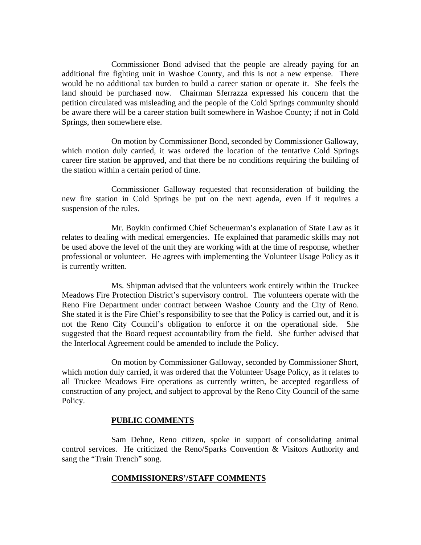Commissioner Bond advised that the people are already paying for an additional fire fighting unit in Washoe County, and this is not a new expense. There would be no additional tax burden to build a career station or operate it. She feels the land should be purchased now. Chairman Sferrazza expressed his concern that the petition circulated was misleading and the people of the Cold Springs community should be aware there will be a career station built somewhere in Washoe County; if not in Cold Springs, then somewhere else.

On motion by Commissioner Bond, seconded by Commissioner Galloway, which motion duly carried, it was ordered the location of the tentative Cold Springs career fire station be approved, and that there be no conditions requiring the building of the station within a certain period of time.

Commissioner Galloway requested that reconsideration of building the new fire station in Cold Springs be put on the next agenda, even if it requires a suspension of the rules.

Mr. Boykin confirmed Chief Scheuerman's explanation of State Law as it relates to dealing with medical emergencies. He explained that paramedic skills may not be used above the level of the unit they are working with at the time of response, whether professional or volunteer. He agrees with implementing the Volunteer Usage Policy as it is currently written.

Ms. Shipman advised that the volunteers work entirely within the Truckee Meadows Fire Protection District's supervisory control. The volunteers operate with the Reno Fire Department under contract between Washoe County and the City of Reno. She stated it is the Fire Chief's responsibility to see that the Policy is carried out, and it is not the Reno City Council's obligation to enforce it on the operational side. She suggested that the Board request accountability from the field. She further advised that the Interlocal Agreement could be amended to include the Policy.

On motion by Commissioner Galloway, seconded by Commissioner Short, which motion duly carried, it was ordered that the Volunteer Usage Policy, as it relates to all Truckee Meadows Fire operations as currently written, be accepted regardless of construction of any project, and subject to approval by the Reno City Council of the same Policy.

## **PUBLIC COMMENTS**

Sam Dehne, Reno citizen, spoke in support of consolidating animal control services. He criticized the Reno/Sparks Convention & Visitors Authority and sang the "Train Trench" song.

## **COMMISSIONERS'/STAFF COMMENTS**